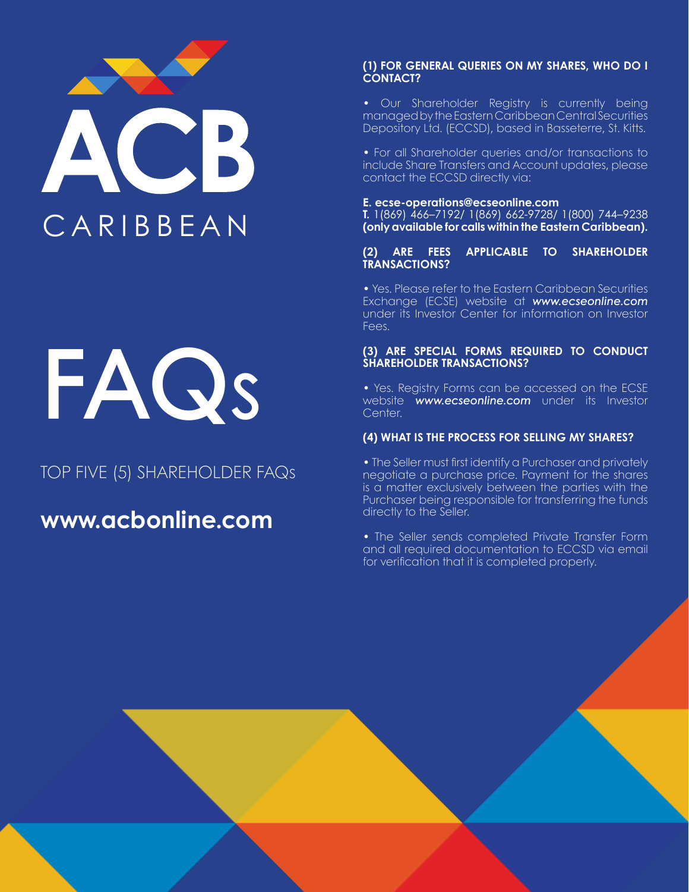

# FAQS

# TOP FIVE (5) SHAREHOLDER FAQs

# www.acbonline.com

## (1) FOR GENERAL QUERIES ON MY SHARES, WHO DO I CONTACT?

• Our Shareholder Registry is currently being managed by the Eastern Caribbean Central Securities Depository Ltd. (ECCSD), based in Basseterre, St. Kitts.

• For all Shareholder queries and/or transactions to include Share Transfers and Account updates, please contact the ECCSD directly via:

# E. ecse-operations@ecseonline.com

T. 1(869) 466–7192/ 1(869) 662-9728/ 1(800) 744–9238 (only available for calls within the Eastern Caribbean).

## (2) ARE FEES APPLICABLE TO SHAREHOLDER TRANSACTIONS?

• Yes. Please refer to the Eastern Caribbean Securities Exchange (ECSE) website at *www.ecseonline.com* under its Investor Center for information on Investor Fees.

# (3) ARE SPECIAL FORMS REQUIRED TO CONDUCT SHAREHOLDER TRANSACTIONS?

• Yes. Registry Forms can be accessed on the ECSE website *www.ecseonline.com* under its Investor Center.

# (4) WHAT IS THE PROCESS FOR SELLING MY SHARES?

• The Seller must first identify a Purchaser and privately negotiate a purchase price. Payment for the shares is a matter exclusively between the parties with the Purchaser being responsible for transferring the funds directly to the Seller.

• The Seller sends completed Private Transfer Form and all required documentation to ECCSD via email for verification that it is completed properly.